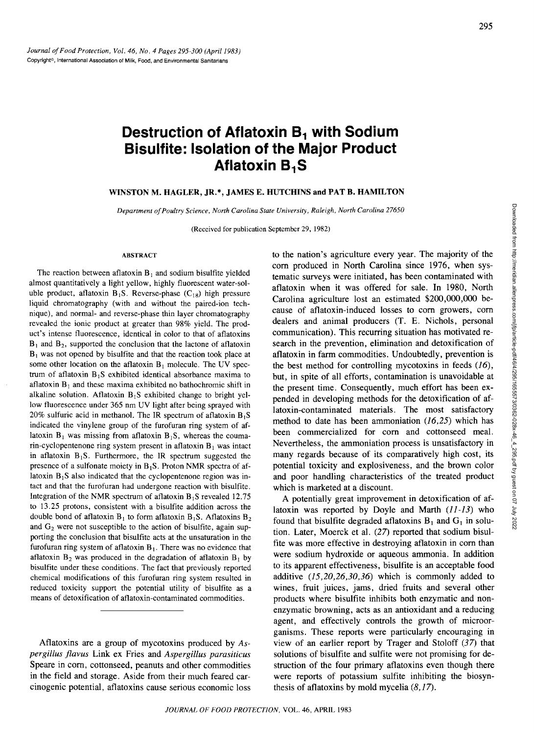## 295

# **Destruction of Aflatoxin B<sub>1</sub> with Sodium Bisulfite: Isolation of the Major Product Aflatoxin B1S**

### WINSTON M. HAGLER, JR.\*, JAMES E. HUTCHINS and PAT B. HAMILTON

*Department of Poultry Science, North Carolina State University, Raleigh, North Carolina 27650* 

(Received for publication September 29, 1982)

#### ABSTRACT

The reaction between aflatoxin  $B_1$  and sodium bisulfite yielded almost quantitatively a light yellow, highly fluorescent water-soluble product, aflatoxin  $B_1S$ . Reverse-phase  $(C_{18})$  high pressure liquid chromatography (with and without the paired-ion technique), and normal- and reverse-phase thin layer chromatography revealed the ionic product at greater than 98% yield. The product's intense fluorescence, identical in color to that of aflatoxins  $B_1$  and  $B_2$ , supported the conclusion that the lactone of aflatoxin  $B_1$  was not opened by bisulfite and that the reaction took place at some other location on the aflatoxin  $B_1$  molecule. The UV spectrum of aflatoxin  $B_1S$  exhibited identical absorbance maxima to aflatoxin  $B_1$  and these maxima exhibited no bathochromic shift in alkaline solution. Aflatoxin  $B_1S$  exhibited change to bright yellow fluorescence under 365 nm UV light after being sprayed with 20% sulfuric acid in methanol. The IR spectrum of aflatoxin  $B_1S$ indicated the vinylene group of the furofuran ring system of aflatoxin  $B_1$  was missing from aflatoxin  $B_1S$ , whereas the coumarin-cyclopentenone ring system present in aflatoxin  $B_1$  was intact in aflatoxin  $B_1S$ . Furthermore, the IR spectrum suggested the presence of a sulfonate moiety in  $B_1S$ . Proton NMR spectra of aflatoxin  $B_1S$  also indicated that the cyclopentenone region was intact and that the furofuran had undergone reaction with bisulfite. Integration of the NMR spectrum of aflatoxin  $B_1S$  revealed 12.75 to 13.25 protons, consistent with a bisulfite addition across the double bond of aflatoxin  $B_1$  to form aflatoxin  $B_1S$ . Aflatoxins  $B_2$ and  $G_2$  were not susceptible to the action of bisulfite, again supporting the conclusion that bisulfite acts at the unsaturation in the furofuran ring system of aflatoxin  $B_1$ . There was no evidence that aflatoxin  $B_2$  was produced in the degradation of aflatoxin  $B_1$  by bisulfite under these conditions. The fact that previously reported chemical modifications of this furofuran ring system resulted in reduced toxicity support the potential utility of bisulfite as a means of detoxification of aflatoxin-contaminated commodities.

Aflatoxins are a group of mycotoxins produced by *Aspergillus flavus* Link ex Fries and *Aspergillus parasiticus*  Speare in com, cottonseed, peanuts and other commodities in the field and storage. Aside from their much feared carcinogenic potential, aflatoxins cause serious economic loss to the nation's agriculture every year, The majority of the com produced in North Carolina since 1976, when systematic surveys were initiated, has been contaminated with aflatoxin when it was offered for sale, In 1980, North Carolina agriculture lost an estimated \$200,000,000 because of aflatoxin-induced losses to com growers, com dealers and animal producers (T. E. Nichols, personal communication). This recurring situation has motivated research in the prevention, elimination and detoxification of aflatoxin in farm commodities. Undoubtedly, prevention is the best method for controlling mycotoxins in feeds  $(16)$ , but, in spite of all efforts, contamination is unavoidable at the present time. Consequently, much effort has been expended in developing methods for the detoxification of aflatoxin-contaminated materials. The most satisfactory method to date has been ammoniation  $(16,25)$  which has been commercialized for com and cottonseed meal. Nevertheless, the ammoniation process is unsatisfactory in many regards because of its comparatively high cost, its potential toxicity and explosiveness, and the brown color and poor handling characteristics of the treated product which is marketed at a discount.

A potentially great improvement in detoxification of aflatoxin was reported by Doyle and Marth  $(11-13)$  who found that bisulfite degraded aflatoxins  $B_1$  and  $G_1$  in solution. Later, Moerck et al. (27) reported that sodium bisulfite was more effective in destroying aflatoxin in com than were sodium hydroxide or aqueous ammonia. In addition to its apparent effectiveness, bisulfite is an acceptable food additive  $(15,20,26,30,36)$  which is commonly added to wines, fruit juices, jams, dried fruits and several other products where bisulfite inhibits both enzymatic and nonenzymatic browning, acts as an antioxidant and a reducing agent, and effectively controls the growth of microorganisms. These reports were particularly encouraging in view of an earlier report by Trager and Stoloff (37) that solutions of bisulfite and sulfite were not promising for destruction of the four primary aflatoxins even though there were reports of potassium sulfite inhibiting the biosynthesis of aflatoxins by mold mycelia  $(8,17)$ .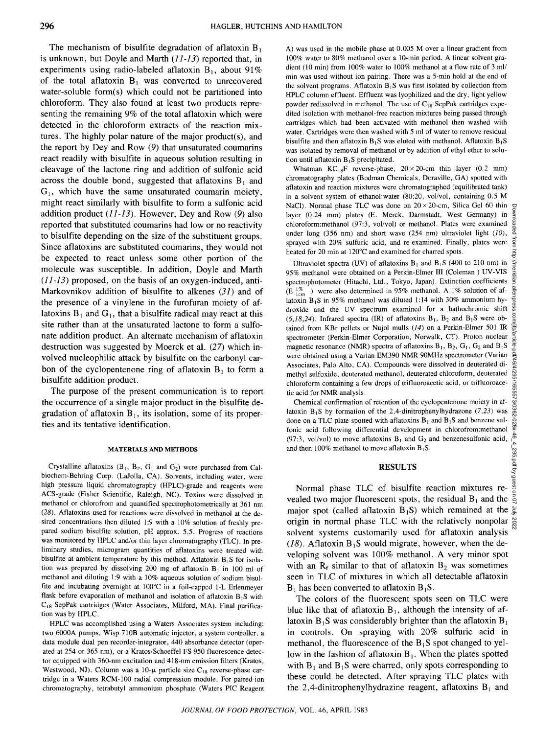The mechanism of bisulfite degradation of aflatoxin  $B_1$ is unknown, but Doyle and Marth (11-13) reported that, in experiments using radio-labeled aflatoxin  $B_1$ , about 91% of the total aflatoxin  $B_1$  was converted to unrecovered water-soluble form $(s)$  which could not be partitioned into chloroform. They also found at least two products representing the remaining 9% of the total aflatoxin which were detected in the chloroform extracts of the reaction mixtures. The highly polar nature of the major product(s), and the report by Dey and Row (9) that unsaturated coumarins react readily with bisulfite in aqueous solution resulting in cleavage of the lactone ring and addition of sulfonic acid across the double bond, suggested that aflatoxins  $B_1$  and  $G_1$ , which have the same unsaturated coumarin moiety, might react similarly with bisulfite to form a sulfonic acid addition product  $(11-13)$ . However, Dey and Row (9) also reported that substituted coumarins had low or no reactivity to bisulfite depending on the size of the substituent groups. Since aflatoxins are substituted coumarins, they would not be expected to react unless some other portion of the molecule was susceptible. In addition, Doyle and Marth  $(11-13)$  proposed, on the basis of an oxygen-induced, anti-Markovnikov addition of bisulfite to alkenes  $(31)$  and of the presence of a vinylene in the furofuran moiety of aflatoxins  $B_1$  and  $G_1$ , that a bisulfite radical may react at this site rather than at the unsaturated lactone to form a sulfonate addition product. An alternate mechanism of aflatoxin destruction was suggested by Moerck et al. (27) which involved nucleophilic attack by bisulfite on the carbonyl carbon of the cyclopentenone ring of aflatoxin  $B_1$  to form a bisulfite addition product.

The purpose of the present communication is to report the occurrence of a single major product in the bisulfite degradation of aflatoxin  $B_1$ , its isolation, some of its properties and its tentative identification.

#### MATERIALS AND METHODS

Crystalline aflatoxins  $(B_1, B_2, G_1$  and  $G_2$ ) were purchased from Calbiochem-Behring Corp. (LaJolla, CA). Solvents, including water, were high pressure liquid chromatography (HPLC)-grade and reagents were ACS-grade (Fisher Scientific, Raleigh, NC). Toxins were dissolved in methanol or chlorofrom and quantified spectrophotometrically at 361 nm (28). Aflatoxins used for reactions were dissolved in methanol at the desired concentrations then diluted 1:9 with a 10% solution of freshly prepared sodium bisulfite solution, pH approx. 5.5. Progress of reactions was monitored by HPLC and/or thin layer chromatography (TLC). In preliminary studies, microgram quantities of afIatoxins were treated with bisulfite at ambient temperature by this method. Aflatoxin  $B_1S$  for isolation was prepared by dissolving 200 mg of aflatoxin  $B_1$  in 100 ml of methanol and diluting 1:9 with a 10% aqueous solution of sodium bisulfite and incubating overnight at 100°C in a foil-capped I-L Erlenmeyer flask before evaporation of methanol and isolation of aflatoxin  $B_1S$  with  $C_{18}$  SepPak cartridges (Water Associates, Milford, MA). Final purification was by HPLC.

HPLC was accomplished using a Waters Associates system including: two 6000A pumps, Wisp 710B automatic injector, a system controller, a data module dual pen recorder-integrator, 440 absorbance detector (operated at 254 or 365 nm), or a Kratos/Schoeffel FS 950 fluorescence detector equipped with 360-nm excitation and 418-nm emission filters (Kratos, Westwood, NJ). Column was a 10- $\mu$  particle size C<sub>18</sub> reverse-phase cartridge in a Waters RCM-100 radial compression module. For paired-ion chromatography, tetrabutyl ammonium phosphate (Waters PIC Reagent A) was used in the mobile phase at 0.005 M over a linear gradient from 100% water to 80% methanol over a IO-min period. A linear solvent gradient (10 min) from 100% water to 100% methanol at a flow rate of 3 ml/ min was used without ion pairing. There was a 5-min hold at the end of the solvent programs. Aflatoxin  $B_1S$  was first isolated by collection from HPLC column effluent. Effluent was lyophilized and the dry, light yellow powder redissolved in methanol. The use of  $C_{18}$  SepPak cartridges expedited isolation with methanol-free reaction mixtures being passed through cartridges which had been activated with methanol then washed with water. Cartridges were then washed with 5 ml of water to remove residual bisulfite and then aflatoxin  $B_1S$  was eluted with methanol. Aflatoxin  $B_1S$ was isolated by removal of methanol or by addition of ethyl ether to solution until aflatoxin  $B_1S$  precipitated.

Whatman  $KC_{18}F$  reverse-phase,  $20 \times 20$ -cm thin layer (0.2 mm) chromatography plates (Bodman Chemicals, Doraville, GA) spotted with aflatoxin and reaction mixtures were chromatographed (equilibrated tank) in a solvent system of ethanol:water (80:20, vol/vol, containing 0.5 M NaCl). Normal phase TLC was done on  $20 \times 20$ -cm, Silica Gel 60 thin layer (0.24 mm) plates (E. Merck, Darmstadt, West Germany) in chloroform:methanol (97:3, vol/vol) or methanol. Plates were examined under long (356 nm) and short wave (254 nm) ultraviolet light (10), sprayed with 20% sulfuric acid, and re-examined. Finally, plates were heated for 20 min at 120°C and examined for charred spots.

Ultraviolet spectra (UV) of aflatoxins  $B_1$  and  $B_1S$  (400 to 210 nm) in 95% methanol were obtained on a Perkin-Elmer III (Coleman) UV-VIS spectrophotometer (Hitachi, Ltd., Tokyo, Japan). Extinction coefficients (E  $^{1\%}_{1cm}$  ) were also determined in 95% methanol. A 1% solution of aflatoxin  $B_1S$  in 95% methanol was diluted 1:14 with 30% ammonium hydroxide and the UV spectrum examined for a bathochromic shift  $(6.18.24)$ . Infrared spectra (IR) of aflatoxins  $B_1$ ,  $B_2$  and  $B_1S$  were obtained from KBr pellets or Nujol mulls (14) on a Perkin-Elmer 501 IR spectrometer (Perkin-Elmer Corporation, Norwalk, CT). Proton nuclear magnetic resonance (NMR) spectra of aflatoxins  $B_1$ ,  $B_2$ ,  $G_1$ ,  $G_2$  and  $B_1S$ were obtained using a Varian EM390 NMR 90MHz spectrometer (Varian Associates, Palo Alto, CA). Compounds were dissolved in deuterated dimethyl sulfoxide, deuterated methanol, deuterated chloroform, deuterated chloroform containing a few drops of trifluoroacetic acid, or trifluoroacetic acid for NMR analysis.

Chemical confirmation of retention of the cyclopentenone moiety in aflatoxin  $B_1S$  by formation of the 2,4-dinitrophenylhydrazone (7,23) was done on a TLC plate spotted with aflatoxins  $B_1$  and  $B_1S$  and benzene sulfonic acid following differential development in chlorofrom:methanol (97:3, vol/vol) to move aflatoxins  $B_1$  and  $G_2$  and benzenesulfonic acid, and then 100% methanol to move aflatoxin  $B_1S$ .

#### RESULTS

Normal phase TLC of bisulfite reaction mixtures revealed two major fluorescent spots, the residual  $B_1$  and the major spot (called aflatoxin B<sub>1</sub>S) which remained at the  $\epsilon$ origin in normal phase TLC with the relatively nonpolar solvent systems customarily used for aflatoxin analysis (18). Aflatoxin  $B_1S$  would migrate, however, when the developing solvent was 100% methanol. A very minor spot with an  $R_f$  similar to that of aflatoxin  $B_2$  was sometimes seen in TLC of mixtures in which all detectable aflatoxin  $B_1$  has been converted to aflatoxin  $B_1 S$ .

The colors of the fluorescent spots seen on TLC were blue like that of aflatoxin  $B_1$ , although the intensity of aflatoxin  $B_1 S$  was considerably brighter than the aflatoxin  $B_1$ in controls. On spraying with 20% sulfuric acid in methanol, the fluorescence of the  $B_1S$  spot changed to yellow in the fashion of aflatoxin  $B_1$ . When the plates spotted with  $B_1$  and  $B_1 S$  were charred, only spots corresponding to these could be detected. After spraying TLC plates with the 2,4-dinitrophenylhydrazine reagent, aflatoxins  $B_1$  and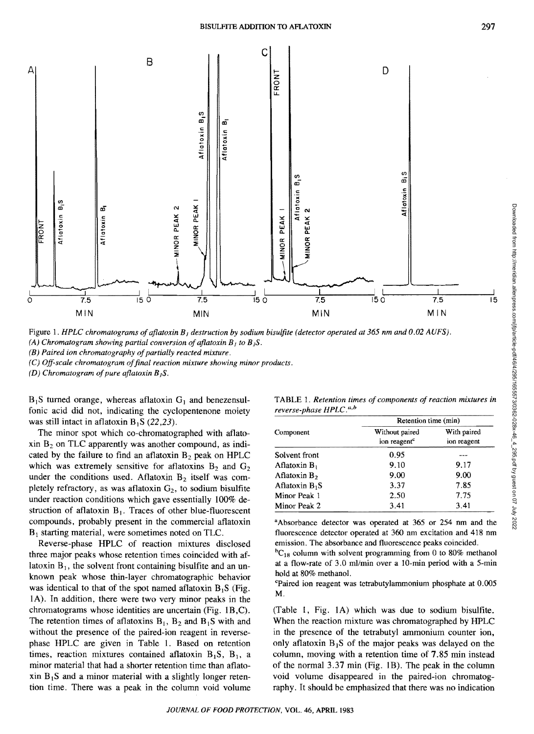



*(B) Paired ion chromatography of partially reacted mixture.* 

*(C) Off-scale chromatogram offinal reaction mixture showing minor products.* 

*(D) Chromatogram of pure aflatoxin B]S.* 

 $B_1S$  turned orange, whereas aflatoxin  $G_1$  and benezensulfonic acid did not, indicating the cyclopentenone moiety was still intact in aflatoxin  $B_1S$  (22,23).

The minor spot which co-chromatographed with aflatoxin  $B_2$  on TLC apparently was another compound, as indicated by the failure to find an aflatoxin  $B_2$  peak on HPLC which was extremely sensitive for aflatoxins  $B_2$  and  $G_2$ under the conditions used. Aflatoxin  $B_2$  itself was completely refractory, as was aflatoxin  $G_2$ , to sodium bisulfite under reaction conditions which gave essentially 100% destruction of aflatoxin  $B_1$ . Traces of other blue-fluorescent compounds, probably present in the commercial aflatoxin  $B_1$  starting material, were sometimes noted on TLC.

Reverse-phase HPLC of reaction mixtures disclosed three major peaks whose retention times coincided with aflatoxin  $B_1$ , the solvent front containing bisulfite and an unknown peak whose thin-layer chromatographic behavior was identical to that of the spot named aflatoxin  $B_1S$  (Fig. lA). In addition, there were two very minor peaks in the chromatograms whose identities are uncertain (Fig. IB,C). The retention times of aflatoxins  $B_1$ ,  $B_2$  and  $B_1S$  with and without the presence of the paired-ion reagent in reversephase HPLC are given in Table 1. Based on retention times, reaction mixtures contained aflatoxin  $B_1S$ ,  $B_1$ , a minor material that had a shorter retention time than aflato $x$ in  $B_1S$  and a minor material with a slightly longer retention time. There was a peak in the column void volume

TABLE 1. *Retention times of components of reaction mixtures in HPLC.a,b* 

|                          | Retention time (min)                       |                            |  |  |
|--------------------------|--------------------------------------------|----------------------------|--|--|
| Component                | Without paired<br>ion reagent <sup>c</sup> | With paired<br>ion reagent |  |  |
| Solvent front            | 0.95                                       |                            |  |  |
| Aflatoxin $B_1$          | 9.10                                       | 9.17                       |  |  |
| Aflatoxin B <sub>2</sub> | 9.00                                       | 9.00                       |  |  |
| Aflatoxin $B_1S$         | 3.37                                       | 7.85                       |  |  |
| Minor Peak 1             | 2.50                                       | 7.75                       |  |  |
| Minor Peak 2             | 3.41                                       | 3.41                       |  |  |

aAbsorbance detector was operated at 365 or 254 nm and the fluorescence detector operated at 360 nm excitation and 418 nm emission. The absorbance and fluorescence peaks coincided.

 ${}^bC_{18}$  column with solvent programming from 0 to 80% methanol at a flow-rate of 3.0 ml/min over a 10-min period with a 5-min hold at 80% methanol.

"Paired ion reagent was tetrabutylammonium phosphate at 0.005 M.

(Table I, Fig. lA) which was due to sodium bisulfite. When the reaction mixture was chromatographed by HPLC in the presence of the tetrabutyl ammonium counter ion, only aflatoxin  $B_1S$  of the major peaks was delayed on the column, moving with a retention time of 7.85 min instead of the normal 3.37 min (Fig. lB). The peak in the column void volume disappeared in the paired-ion chromatography. It should be emphasized that there was no indication

297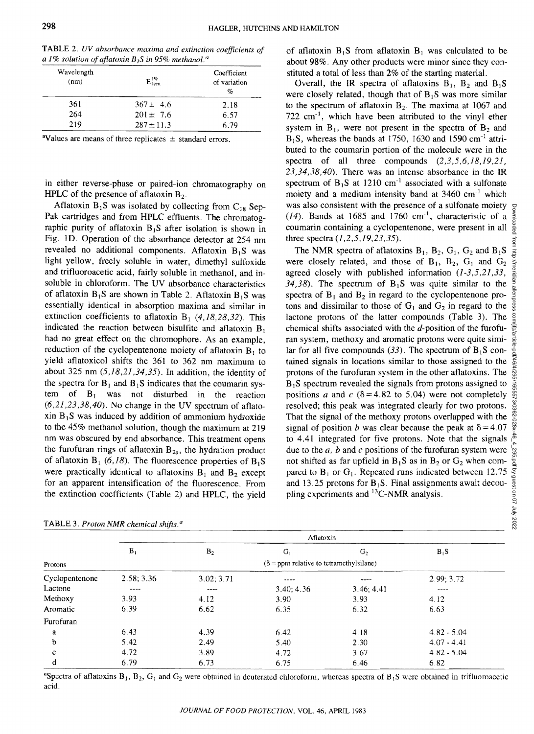| TABLE 2. UV absorbance maxima and extinction coefficients of           |  |
|------------------------------------------------------------------------|--|
| a 1% solution of aflatoxin $B_1S$ in 95% methanol. <sup><i>a</i></sup> |  |

| Wavelength<br>(nm) | $E_{\text{lcm}}^{1\%}$ | Coefficient<br>of variation<br>% |
|--------------------|------------------------|----------------------------------|
| 361                | $367 \pm 4.6$          | 2.18                             |
| 264                | $201 \pm 7.6$          | 6.57                             |
| 219                | $287 \pm 11.3$         | 6.79                             |

<sup>a</sup>Values are means of three replicates  $\pm$  standard errors.

in either reverse-phase or paired-ion chromatography on HPLC of the presence of aflatoxin  $B_2$ .

Aflatoxin  $B_1S$  was isolated by collecting from  $C_{18}$  Sep-Pak cartridges and from HPLC effluents. The chromatographic purity of aflatoxin  $B_1S$  after isolation is shown in Fig. ID. Operation of the absorbance detector at 254 nm revealed no additional components. Aflatoxin  $B_1S$  was light yellow, freely soluble in water, dimethyl sulfoxide and trifluoroacetic acid, fairly soluble in methanol, and insoluble in chloroform. The UV absorbance characteristics of aflatoxin  $B_1S$  are shown in Table 2. Aflatoxin  $B_1S$  was essentially identical in absorption maxima and similar in extinction coefficients to aflatoxin  $B_1$  (4,18,28,32). This indicated the reaction between bisulfite and aflatoxin  $B_1$ had no great effect on the chromophore. As an example, reduction of the cyclopentenone moiety of aflatoxin  $B_1$  to yield aflatoxicol shifts the 361 to 362 nm maximum to about 325 nm  $(5,18,21,34,35)$ . In addition, the identity of the spectra for  $B_1$  and  $B_1S$  indicates that the coumarin system of  $B_1$  was not disturbed in the reaction *(6,21.23,38,40).* No change in the UV spectrum of aflato- $\sin B_1S$  was induced by addition of ammonium hydroxide to the 45% methanol solution. though the maximum at 219 nm was obscured by end absorbance. This treatment opens the furofuran rings of aflatoxin  $B_{2a}$ , the hydration product of aflatoxin  $B_1$  (6,18). The fluorescence properties of  $B_1S$ were practically identical to aflatoxins  $B_1$  and  $B_2$  except for an apparent intensification of the fluorescence. From the extinction coefficients (Table 2) and HPLC, the yield

TABLE 3. Proton NMR chemical shifts.<sup>a</sup>

of aflatoxin  $B_1S$  from aflatoxin  $B_1$  was calculated to be about 98%. Any other products were minor since they constituted a total of less than 2% of the starting material.

Overall, the IR spectra of aflatoxins  $B_1$ ,  $B_2$  and  $B_1S$ were closely related, though that of  $B_1S$  was more similar to the spectrum of aflatoxin  $B_2$ . The maxima at 1067 and 722  $cm<sup>-1</sup>$ , which have been attributed to the vinyl ether system in  $B_1$ , were not present in the spectra of  $B_2$  and  $B_1S$ , whereas the bands at 1750, 1630 and 1590 cm<sup>-1</sup> attributed to the coumarin portion of the molecule were in the spectra of all three compounds (2,3,5,6,18,19,21, *23,34,38,40).* There was an intense absorbance in the IR spectrum of  $B_1S$  at 1210 cm<sup>-1</sup> associated with a sulfonate moiety and a medium intensity band at  $3460 \text{ cm}^{-1}$  which was also consistent with the presence of a sulfonate moiety  $(14)$ . Bands at 1685 and 1760 cm<sup>-1</sup>, characteristic of a coumarin containing a cyclopentenone, were present in all three spectra  $(1, 2, 5, 19, 23, 35)$ .

The NMR spectra of aflatoxins  $B_1$ ,  $B_2$ ,  $G_1$ ,  $G_2$  and  $B_1S$ were closely related, and those of  $B_1$ ,  $B_2$ ,  $G_1$  and  $G_2$ agreed closely with published information  $(1-3,5,21,33,$  $34,38$ ). The spectrum of  $B_1S$  was quite similar to the spectra of  $B_1$  and  $B_2$  in regard to the cyclopentenone protons and dissimilar to those of  $G_1$  and  $G_2$  in regard to the lactone protons of the latter compounds (Table 3). The chemical shifts associated with the d-position of the furofuran system, methoxy and aromatic protons were quite similar for all five compounds (33). The spectrum of  $B_1S$  contained signals in locations similar to those assigned to the protons of the furofuran system in the other atlatoxins. The  $B<sub>1</sub>S$  spectrum revealed the signals from protons assigned to positions a and  $c$  ( $\delta$ =4.82 to 5.04) were not completely resolved; this peak was integrated clearly for two protons. That the signal of the methoxy protons overlapped with the signal of position b was clear because the peak at  $\delta = 4.07$ to 4.41 integrated for five protons. Note that the signals due to the  $a$ ,  $b$  and  $c$  positions of the furofuran system were not shifted as far upfield in  $B_1 S$  as in  $B_2$  or  $G_2$  when compared to  $B_1$  or  $G_1$ . Repeated runs indicated between 12.75 and 13.25 protons for  $B_1S$ . Final assignments await decoupling experiments and <sup>13</sup>C-NMR analysis.

|                | Aflatoxin                                      |                |            |                |               |  |  |  |
|----------------|------------------------------------------------|----------------|------------|----------------|---------------|--|--|--|
|                | B <sub>1</sub>                                 | B <sub>2</sub> | $G_1$      | G <sub>2</sub> | $B_1S$        |  |  |  |
| Protons        | $(\delta =$ ppm relative to tetramethylsilane) |                |            |                |               |  |  |  |
| Cyclopentenone | 2.58; 3.36                                     | 3.02; 3.71     | ----       | ----           | 2.99; 3.72    |  |  |  |
| Lactone        | <b>With Miller</b>                             | ----           | 3.40; 4.36 | 3.46:4.41      | $\frac{1}{2}$ |  |  |  |
| Methoxy        | 3.93                                           | 4.12           | 3.90       | 3.93           | 4.12          |  |  |  |
| Aromatic       | 6.39                                           | 6.62           | 6.35       | 6.32           | 6.63          |  |  |  |
| Furofuran      |                                                |                |            |                |               |  |  |  |
| a              | 6.43                                           | 4.39           | 6.42       | 4.18           | $4.82 - 5.04$ |  |  |  |
| $\mathbf b$    | 5.42                                           | 2.49           | 5.40       | 2.30           | $4.07 - 4.41$ |  |  |  |
| c              | 4.72                                           | 3.89           | 4.72       | 3.67           | $4.82 - 5.04$ |  |  |  |
| d              | 6.79                                           | 6.73           | 6.75       | 6.46           | 6.82          |  |  |  |

<sup>a</sup>Spectra of aflatoxins B<sub>1</sub>, B<sub>2</sub>, G<sub>1</sub> and G<sub>2</sub> were obtained in deuterated chloroform, whereas spectra of B<sub>1</sub>S were obtained in trifluoroacetic acid.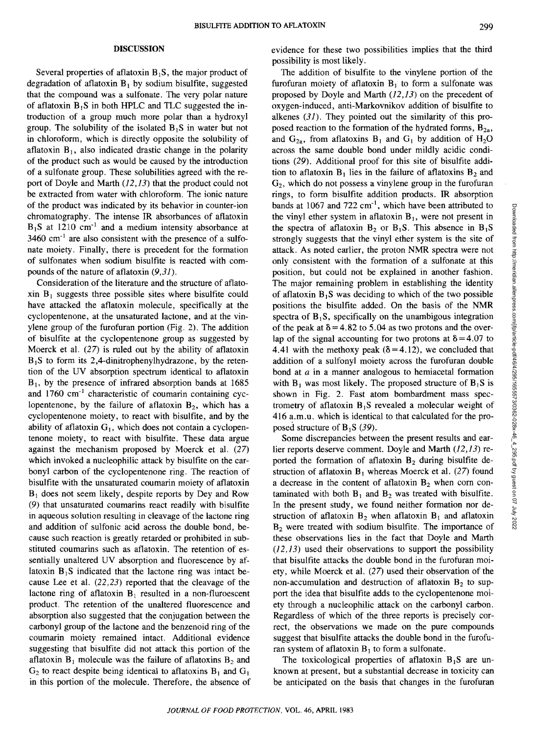# DISCUSSION

Several properties of aflatoxin  $B_1S$ , the major product of degradation of aflatoxin  $B_1$  by sodium bisulfite, suggested that the compound was a sulfonate. The very polar nature of aflatoxin  $B_1S$  in both HPLC and TLC suggested the introduction of a group much more polar than a hydroxyl group. The solubility of the isolated  $B_1S$  in water but not in chloroform, which is directly opposite the solubility of aflatoxin  $B_1$ , also indicated drastic change in the polarity of the product such as would be caused by the introduction of a sulfonate group. These solubilities agreed with the report of Doyle and Marth (12,13) that the product could not be extracted from water with chloroform. The ionic nature of the product was indicated by its behavior in counter-ion chromatography. The intense IR absorbances of aflatoxin  $B_1S$  at 1210 cm<sup>-1</sup> and a medium intensity absorbance at  $3460$  cm<sup>-1</sup> are also consistent with the presence of a sulfonate moiety. Finally, there is precedent for the formation of sulfonates when sodium bisulfite is reacted with compounds of the nature of aflatoxin (9,31).

Consideration of the literature and the structure of aflato $x$ in  $B_1$  suggests three possible sites where bisulfite could have attacked the aflatoxin molecule, specifically at the cyclopentenone, at the unsaturated lactone, and at the vinylene group of the furofuran portion (Fig. 2). The addition of bisulfite at the cyclopentenone group as suggested by Moerck et al. (27) is ruled out by the ability of aflatoxin  $B_1S$  to form its 2,4-dinitrophenylhydrazone, by the retention of the UV absorption spectrum identical to aflatoxin  $B<sub>1</sub>$ , by the presence of infrared absorption bands at 1685 and 1760 cm-1 characteristic of coumarin containing cyclopentenone, by the failure of aflatoxin  $B_2$ , which has a cyclopentenone moiety, to react with bisulfite, and by the ability of aflatoxin  $G_1$ , which does not contain a cyclopentenone moiety, to react with bisulfite. These data argue against the mechanism proposed by Moerck et al. (27) which invoked a nucleophilic attack by bisulfite on the carbonyl carbon of the cyclopentenone ring. The reaction of bisulfite with the unsaturated coumarin moiety of aflatoxin  $B_1$  does not seem likely, despite reports by Dey and Row (9) that unsaturated coumarins react readily with bisulfite in aqueous solution resulting in cleavage of the lactone ring and addition of sulfonic acid across the double bond, because such reaction is greatly retarded or prohibited in substituted coumarins such as aflatoxin. The retention of essentially unaltered UV absorption and fluorescence by aflatoxin  $B_1S$  indicated that the lactone ring was intact because Lee et al. (22,23) reported that the cleavage of the lactone ring of aflatoxin  $B_1$  resulted in a non-fluroescent product. The retention of the unaltered fluorescence and absorption also suggested that the conjugation between the carbonyl group of the lactone and the benzenoid ring of the coumarin moiety remained intact. Additional evidence suggesting that bisulfite did not attack this portion of the aflatoxin  $B_1$  molecule was the failure of aflatoxins  $B_2$  and  $G_2$  to react despite being identical to aflatoxins  $B_1$  and  $G_1$ in this portion of the molecule. Therefore, the absence of evidence for these two possibilities implies that the third possibility is most likely.

The addition of bisulfite to the vinylene portion of the furofuran moiety of aflatoxin  $B_1$  to form a sulfonate was proposed by Doyle and Marth (12,13) on the precedent of oxygen-induced, anti-Markovnikov addition of bisulfite to alkenes  $(31)$ . They pointed out the similarity of this proposed reaction to the formation of the hydrated forms,  $B_{2a}$ , and  $G_{2a}$ , from aflatoxins  $B_1$  and  $G_1$  by addition of  $H_2O$ across the same double bond under mildly acidic conditions (29). Additional proof for this site of bisulfite addition to aflatoxin  $B_1$  lies in the failure of aflatoxins  $B_2$  and G2, which do not possess a vinylene group in the furofuran rings, to form bisulfite addition products. IR absorption bands at 1067 and 722  $cm^{-1}$ , which have been attributed to the vinyl ether system in aflatoxin  $B_1$ , were not present in the spectra of aflatoxin  $B_2$  or  $B_1S$ . This absence in  $B_1S$ strongly suggests that the vinyl ether system is the site of attack. As noted earlier, the proton NMR spectra were not only consistent with the formation of a sulfonate at this position, but could not be explained in another fashion. The major remaining problem in establishing the identity of aflatoxin  $B_1S$  was deciding to which of the two possible positions the bisulfite added. On the basis of the NMR spectra of  $B_1S$ , specifically on the unambigous integration of the peak at  $\delta$  = 4.82 to 5.04 as two protons and the overlap of the signal accounting for two protons at  $\delta$  = 4.07 to 4.41 with the methoxy peak  $(\delta = 4.12)$ , we concluded that addition of a sulfonyl moiety across the furofuran double bond at *a* in a manner analogous to hemiacetal formation with  $B_1$  was most likely. The proposed structure of  $B_1S$  is shown in Fig. 2. Fast atom bombardment mass spectrometry of aflatoxin  $B_1S$  revealed a molecular weight of 416 a.m.u. which is identical to that calculated for the proposed structure of  $B_1S$  (39).

Some discrepancies between the present results and earlier reports deserve comment. Doyle and Marth (12,13) reported the formation of aflatoxin  $B_2$  during bisulfite destruction of aflatoxin  $B_1$  whereas Moerck et al. (27) found a decrease in the content of aflatoxin  $B_2$  when corn contaminated with both  $B_1$  and  $B_2$  was treated with bisulfite. In the present study, we found neither formation nor destruction of aflatoxin  $B_2$  when aflatoxin  $B_1$  and aflatoxin  $B<sub>2</sub>$  were treated with sodium bisulfite. The importance of these observations lies in the fact that Doyle and Marth  $(12,13)$  used their observations to support the possibility that bisulfite attacks the double bond in the furofuran moiety, while Moerck et al. (27) used their observation of the non-accumulation and destruction of aflatoxin  $B_2$  to support the idea that bisulfite adds to the cyclopentenone moiety through a nucleophilic attack on the carbonyl carbon. Regardless of which of the three reports is precisely correct, the observations we made on the pure compounds suggest that bisulfite attacks the double bond in the furofuran system of aflatoxin  $B_1$  to form a sulfonate.

The toxicological properties of aflatoxin  $B_1S$  are unknown at present, but a substantial decrease in toxicity can be anticipated on the basis that changes in the furofuran